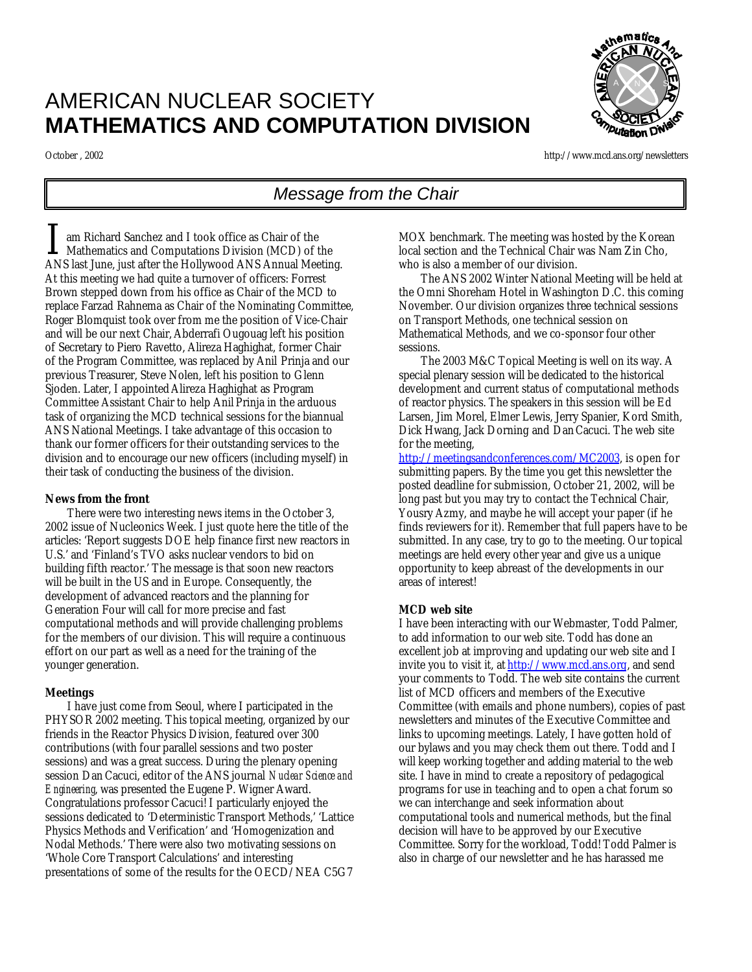# AMERICAN NUCLEAR SOCIETY **MATHEMATICS AND COMPUTATION DIVISION**

A N N S Putation D

October , 2002 http://www.mcd.ans.org/newsletters

# *Message from the Chair*

am Richard Sanchez and I took office as Chair of the I am Richard Sanchez and I took office as Chair of the<br>Mathematics and Computations Division (MCD) of the<br>ANS last line, just ofter the Hallwigad ANS Annual Meeting ANS last June, just after the Hollywood ANS Annual Meeting. At this meeting we had quite a turnover of officers: Forrest Brown stepped down from his office as Chair of the MCD to replace Farzad Rahnema as Chair of the Nominating Committee, Roger Blomquist took over from me the position of Vice-Chair and will be our next Chair, Abderrafi Ougouag left his position of Secretary to Piero Ravetto, Alireza Haghighat, former Chair of the Program Committee, was replaced by Anil Prinja and our previous Treasurer, Steve Nolen, left his position to Glenn Sjoden. Later, I appointed Alireza Haghighat as Program Committee Assistant Chair to help Anil Prinja in the arduous task of organizing the MCD technical sessions for the biannual ANS National Meetings. I take advantage of this occasion to thank our former officers for their outstanding services to the division and to encourage our new officers (including myself) in their task of conducting the business of the division.

### *News from the front*

There were two interesting news items in the October 3, 2002 issue of Nucleonics Week. I just quote here the title of the articles: 'Report suggests DOE help finance first new reactors in U.S.' and 'Finland's TVO asks nuclear vendors to bid on building fifth reactor.' The message is that soon new reactors will be built in the US and in Europe. Consequently, the development of advanced reactors and the planning for Generation Four will call for more precise and fast computational methods and will provide challenging problems for the members of our division. This will require a continuous effort on our part as well as a need for the training of the younger generation.

### *Meetings*

I have just come from Seoul, where I participated in the PHYSOR 2002 meeting. This topical meeting, organized by our friends in the Reactor Physics Division, featured over 300 contributions (with four parallel sessions and two poster sessions) and was a great success. During the plenary opening session Dan Cacuci, editor of the ANS journal *Nuclear Science and Engineering*, was presented the Eugene P. Wigner Award. Congratulations professor Cacuci! I particularly enjoyed the sessions dedicated to 'Deterministic Transport Methods,' 'Lattice Physics Methods and Verification' and 'Homogenization and Nodal Methods.' There were also two motivating sessions on 'Whole Core Transport Calculations' and interesting presentations of some of the results for the OECD/NEA C5G7

MOX benchmark. The meeting was hosted by the Korean local section and the Technical Chair was Nam Zin Cho, who is also a member of our division.

The ANS 2002 Winter National Meeting will be held at the Omni Shoreham Hotel in Washington D.C. this coming November. Our division organizes three technical sessions on Transport Methods, one technical session on Mathematical Methods, and we co-sponsor four other sessions.

The 2003 M&C Topical Meeting is well on its way. A special plenary session will be dedicated to the historical development and current status of computational methods of reactor physics. The speakers in this session will be Ed Larsen, Jim Morel, Elmer Lewis, Jerry Spanier, Kord Smith, Dick Hwang, Jack Dorning and Dan Cacuci. The web site for the meeting,

http://meetingsandconferences.com/MC2003, is open for submitting papers. By the time you get this newsletter the posted deadline for submission, October 21, 2002, will be long past but you may try to contact the Technical Chair, Yousry Azmy, and maybe he will accept your paper (if he finds reviewers for it). Remember that full papers have to be submitted. In any case, try to go to the meeting. Our topical meetings are held every other year and give us a unique opportunity to keep abreast of the developments in our areas of interest!

### *MCD web site*

I have been interacting with our Webmaster, Todd Palmer, to add information to our web site. Todd has done an excellent job at improving and updating our web site and I invite you to visit it, at http://www.mcd.ans.org, and send your comments to Todd. The web site contains the current list of MCD officers and members of the Executive Committee (with emails and phone numbers), copies of past newsletters and minutes of the Executive Committee and links to upcoming meetings. Lately, I have gotten hold of our bylaws and you may check them out there. Todd and I will keep working together and adding material to the web site. I have in mind to create a repository of pedagogical programs for use in teaching and to open a chat forum so we can interchange and seek information about computational tools and numerical methods, but the final decision will have to be approved by our Executive Committee. Sorry for the workload, Todd! Todd Palmer is also in charge of our newsletter and he has harassed me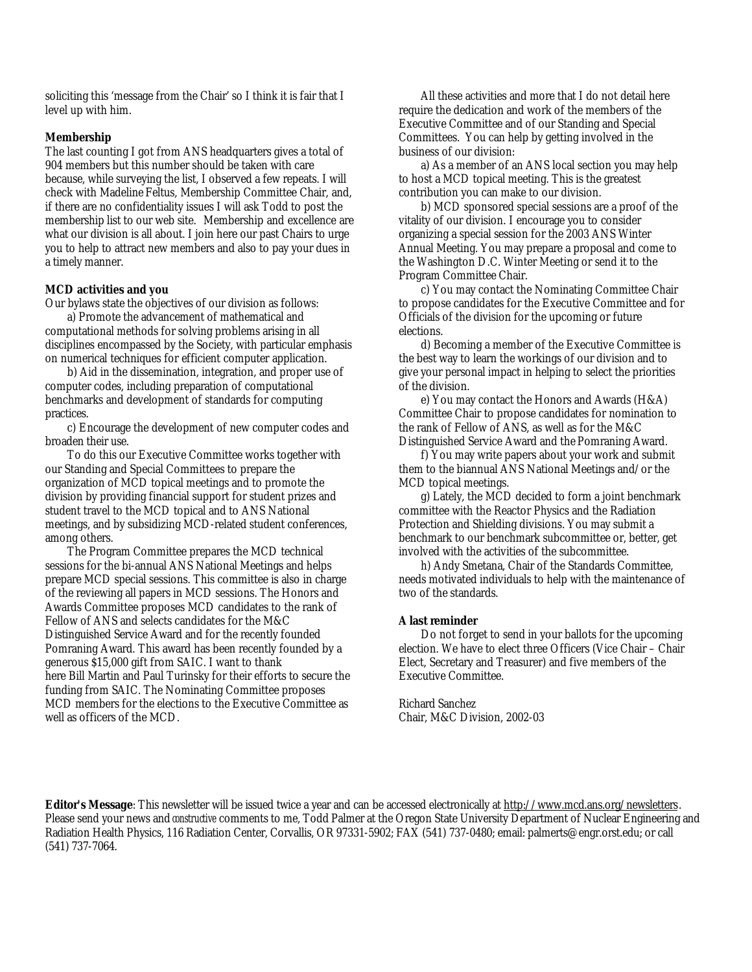soliciting this 'message from the Chair' so I think it is fair that I level up with him.

#### *Membership*

The last counting I got from ANS headquarters gives a total of 904 members but this number should be taken with care because, while surveying the list, I observed a few repeats. I will check with Madeline Feltus, Membership Committee Chair, and, if there are no confidentiality issues I will ask Todd to post the membership list to our web site. Membership and excellence are what our division is all about. I join here our past Chairs to urge you to help to attract new members and also to pay your dues in a timely manner.

### **MCD activities and you**

Our bylaws state the objectives of our division as follows:

a) Promote the advancement of mathematical and computational methods for solving problems arising in all disciplines encompassed by the Society, with particular emphasis on numerical techniques for efficient computer application.

b) Aid in the dissemination, integration, and proper use of computer codes, including preparation of computational benchmarks and development of standards for computing practices.

c) Encourage the development of new computer codes and broaden their use.

To do this our Executive Committee works together with our Standing and Special Committees to prepare the organization of MCD topical meetings and to promote the division by providing financial support for student prizes and student travel to the MCD topical and to ANS National meetings, and by subsidizing MCD-related student conferences, among others.

The Program Committee prepares the MCD technical sessions for the bi-annual ANS National Meetings and helps prepare MCD special sessions. This committee is also in charge of the reviewing all papers in MCD sessions. The Honors and Awards Committee proposes MCD candidates to the rank of Fellow of ANS and selects candidates for the M&C Distinguished Service Award and for the recently founded Pomraning Award. This award has been recently founded by a generous \$15,000 gift from SAIC. I want to thank here Bill Martin and Paul Turinsky for their efforts to secure the funding from SAIC. The Nominating Committee proposes MCD members for the elections to the Executive Committee as well as officers of the MCD.

All these activities and more that I do not detail here require the dedication and work of the members of the Executive Committee and of our Standing and Special Committees. You can help by getting involved in the business of our division:

a) As a member of an ANS local section you may help to host a MCD topical meeting. This is the greatest contribution you can make to our division.

b) MCD sponsored special sessions are a proof of the vitality of our division. I encourage you to consider organizing a special session for the 2003 ANS Winter Annual Meeting. You may prepare a proposal and come to the Washington D.C. Winter Meeting or send it to the Program Committee Chair.

c) You may contact the Nominating Committee Chair to propose candidates for the Executive Committee and for Officials of the division for the upcoming or future elections.

d) Becoming a member of the Executive Committee is the best way to learn the workings of our division and to give your personal impact in helping to select the priorities of the division.

e) You may contact the Honors and Awards (H&A) Committee Chair to propose candidates for nomination to the rank of Fellow of ANS, as well as for the M&C Distinguished Service Award and the Pomraning Award.

f) You may write papers about your work and submit them to the biannual ANS National Meetings and/or the MCD topical meetings.

g) Lately, the MCD decided to form a joint benchmark committee with the Reactor Physics and the Radiation Protection and Shielding divisions. You may submit a benchmark to our benchmark subcommittee or, better, get involved with the activities of the subcommittee.

h) Andy Smetana, Chair of the Standards Committee, needs motivated individuals to help with the maintenance of two of the standards.

#### *A last reminder*

Do not forget to send in your ballots for the upcoming election. We have to elect three Officers (Vice Chair – Chair Elect, Secretary and Treasurer) and five members of the Executive Committee.

Richard Sanchez Chair, M&C Division, 2002-03

**Editor's Message**: This newsletter will be issued twice a year and can be accessed electronically at http://www.mcd.ans.org/newsletters. Please send your news and *constructive* comments to me, Todd Palmer at the Oregon State University Department of Nuclear Engineering and Radiation Health Physics, 116 Radiation Center, Corvallis, OR 97331-5902; FAX (541) 737-0480; email: palmerts@engr.orst.edu; or call (541) 737-7064.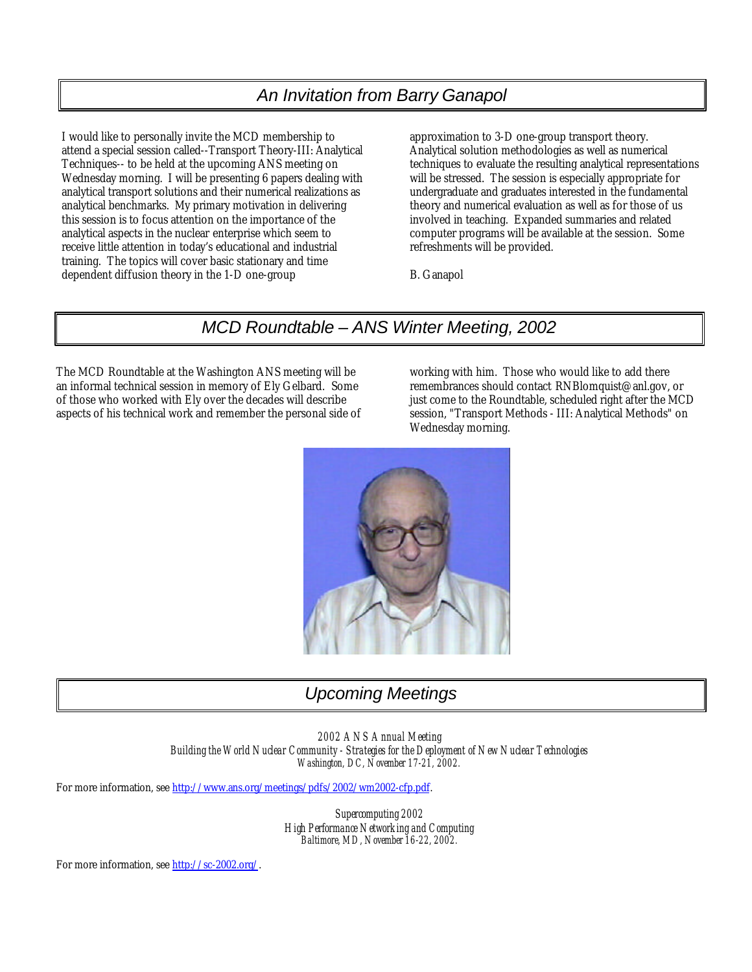# *An Invitation from Barry Ganapol*

I would like to personally invite the MCD membership to attend a special session called--Transport Theory-III: Analytical Techniques-- to be held at the upcoming ANS meeting on Wednesday morning. I will be presenting 6 papers dealing with analytical transport solutions and their numerical realizations as analytical benchmarks. My primary motivation in delivering this session is to focus attention on the importance of the analytical aspects in the nuclear enterprise which seem to receive little attention in today's educational and industrial training. The topics will cover basic stationary and time dependent diffusion theory in the 1-D one-group

approximation to 3-D one-group transport theory. Analytical solution methodologies as well as numerical techniques to evaluate the resulting analytical representations will be stressed. The session is especially appropriate for undergraduate and graduates interested in the fundamental theory and numerical evaluation as well as for those of us involved in teaching. Expanded summaries and related computer programs will be available at the session. Some refreshments will be provided.

B. Ganapol

# *MCD Roundtable – ANS Winter Meeting, 2002*

The MCD Roundtable at the Washington ANS meeting will be an informal technical session in memory of Ely Gelbard. Some of those who worked with Ely over the decades will describe aspects of his technical work and remember the personal side of working with him. Those who would like to add there remembrances should contact RNBlomquist@anl.gov, or just come to the Roundtable, scheduled right after the MCD session, "Transport Methods - III: Analytical Methods" on Wednesday morning.



# *Upcoming Meetings*

*2002 ANS Annual Meeting Building the World Nuclear Community - Strategies for the Deployment of New Nuclear Technologies Washington, DC, November 17-21, 2002.*

For more information, see http://www.ans.org/meetings/pdfs/2002/wm2002-cfp.pdf.

*Supercomputing 2002 High Performance Networking and Computing Baltimore, MD, November 16-22, 2002.*

For more information, see http://sc-2002.org/.